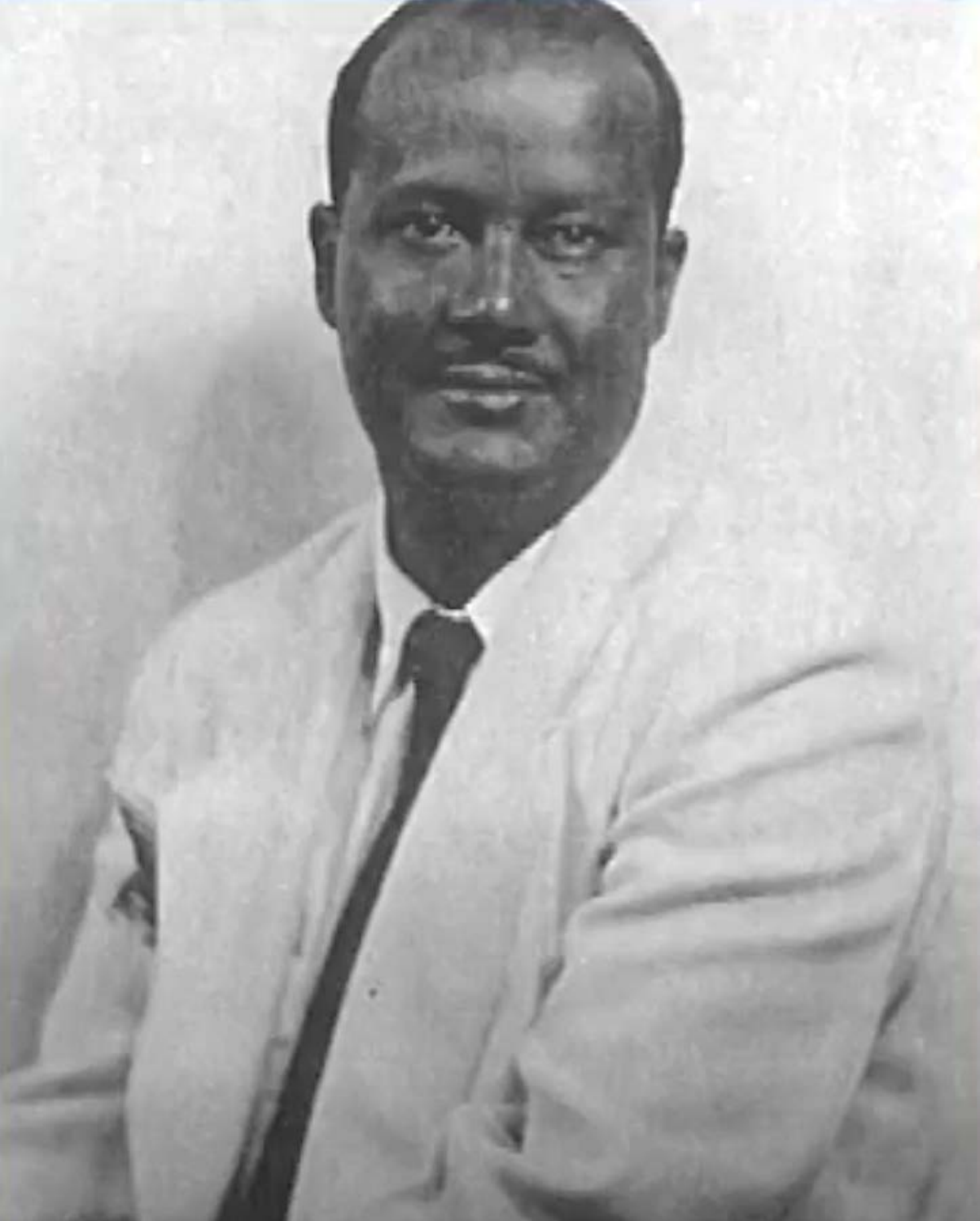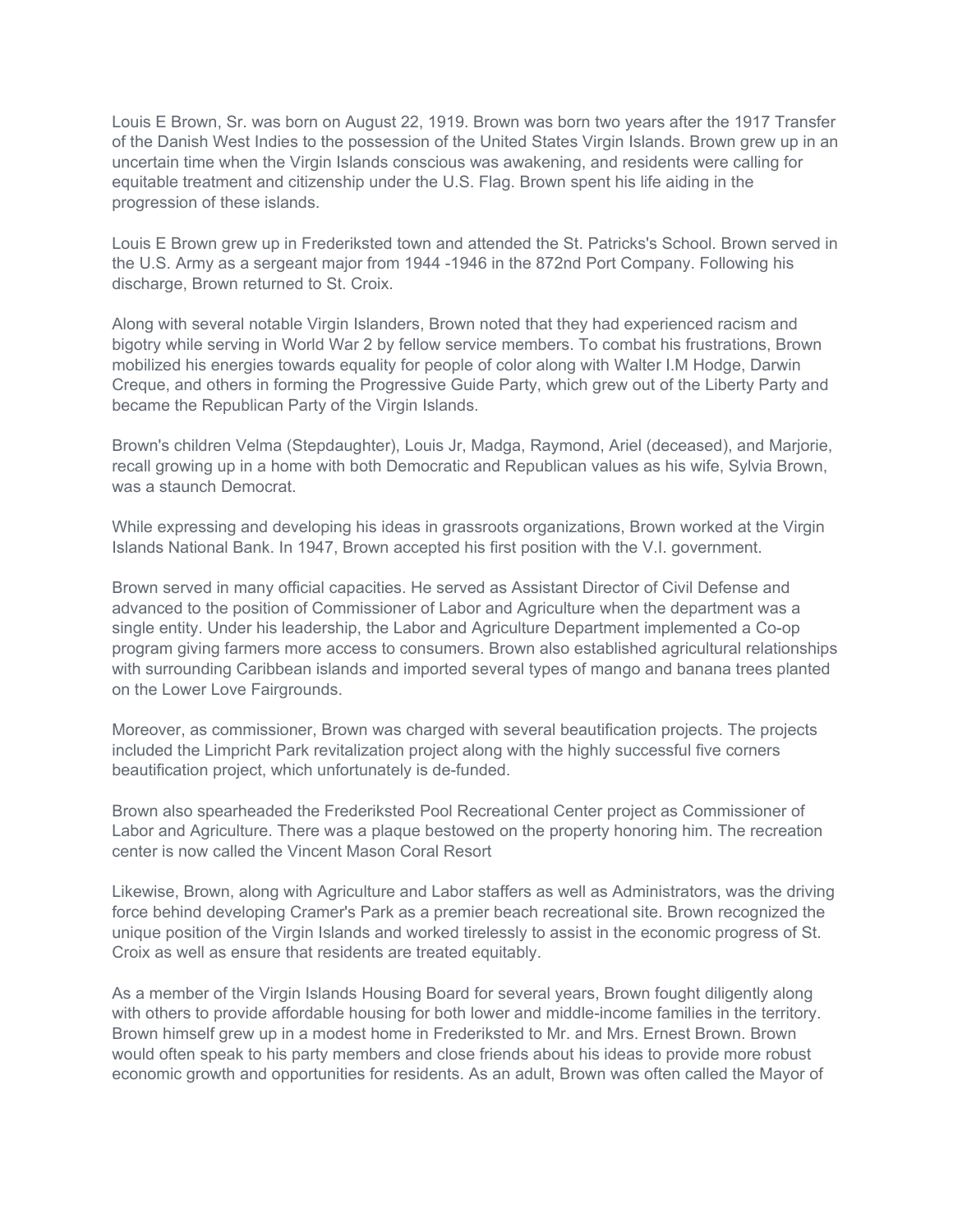Louis E Brown, Sr. was born on August 22, 1919. Brown was born two years after the 1917 Transfer of the Danish West Indies to the possession of the United States Virgin Islands. Brown grew up in an uncertain time when the Virgin Islands conscious was awakening, and residents were calling for equitable treatment and citizenship under the U.S. Flag. Brown spent his life aiding in the progression of these islands.

Louis E Brown grew up in Frederiksted town and attended the St. Patricks's School. Brown served in the U.S. Army as a sergeant major from 1944 -1946 in the 872nd Port Company. Following his discharge, Brown returned to St. Croix.

Along with several notable Virgin Islanders, Brown noted that they had experienced racism and bigotry while serving in World War 2 by fellow service members. To combat his frustrations, Brown mobilized his energies towards equality for people of color along with Walter I.M Hodge, Darwin Creque, and others in forming the Progressive Guide Party, which grew out of the Liberty Party and became the Republican Party of the Virgin Islands.

Brown's children Velma (Stepdaughter), Louis Jr, Madga, Raymond, Ariel (deceased), and Marjorie, recall growing up in a home with both Democratic and Republican values as his wife, Sylvia Brown, was a staunch Democrat.

While expressing and developing his ideas in grassroots organizations, Brown worked at the Virgin Islands National Bank. In 1947, Brown accepted his first position with the V.I. government.

Brown served in many official capacities. He served as Assistant Director of Civil Defense and advanced to the position of Commissioner of Labor and Agriculture when the department was a single entity. Under his leadership, the Labor and Agriculture Department implemented a Co-op program giving farmers more access to consumers. Brown also established agricultural relationships with surrounding Caribbean islands and imported several types of mango and banana trees planted on the Lower Love Fairgrounds.

Moreover, as commissioner, Brown was charged with several beautification projects. The projects included the Limpricht Park revitalization project along with the highly successful five corners beautification project, which unfortunately is de-funded.

Brown also spearheaded the Frederiksted Pool Recreational Center project as Commissioner of Labor and Agriculture. There was a plaque bestowed on the property honoring him. The recreation center is now called the Vincent Mason Coral Resort

Likewise, Brown, along with Agriculture and Labor staffers as well as Administrators, was the driving force behind developing Cramer's Park as a premier beach recreational site. Brown recognized the unique position of the Virgin Islands and worked tirelessly to assist in the economic progress of St. Croix as well as ensure that residents are treated equitably.

As a member of the Virgin Islands Housing Board for several years, Brown fought diligently along with others to provide affordable housing for both lower and middle-income families in the territory. Brown himself grew up in a modest home in Frederiksted to Mr. and Mrs. Ernest Brown. Brown would often speak to his party members and close friends about his ideas to provide more robust economic growth and opportunities for residents. As an adult, Brown was often called the Mayor of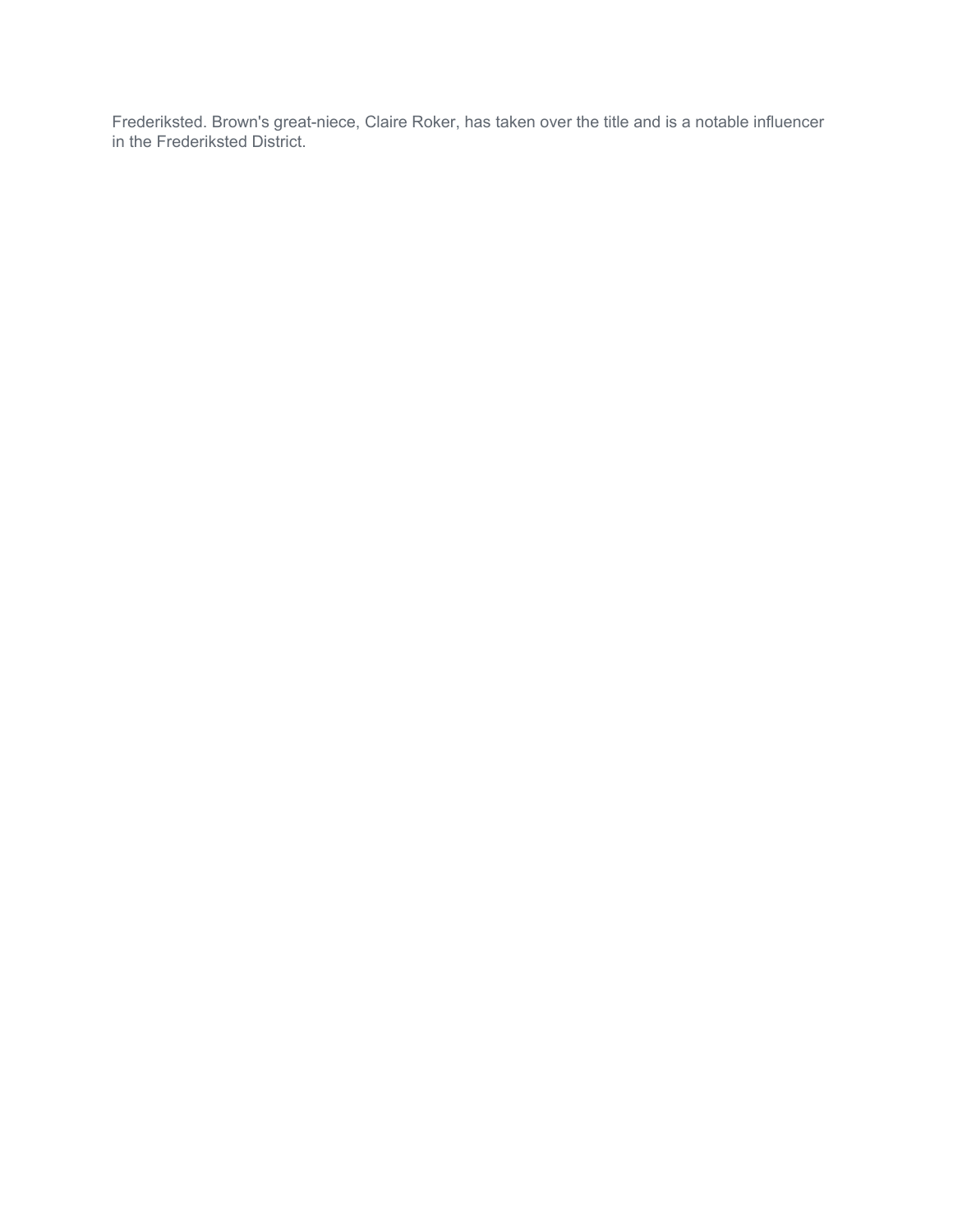Frederiksted. Brown's great-niece, Claire Roker, has taken over the title and is a notable influencer in the Frederiksted District.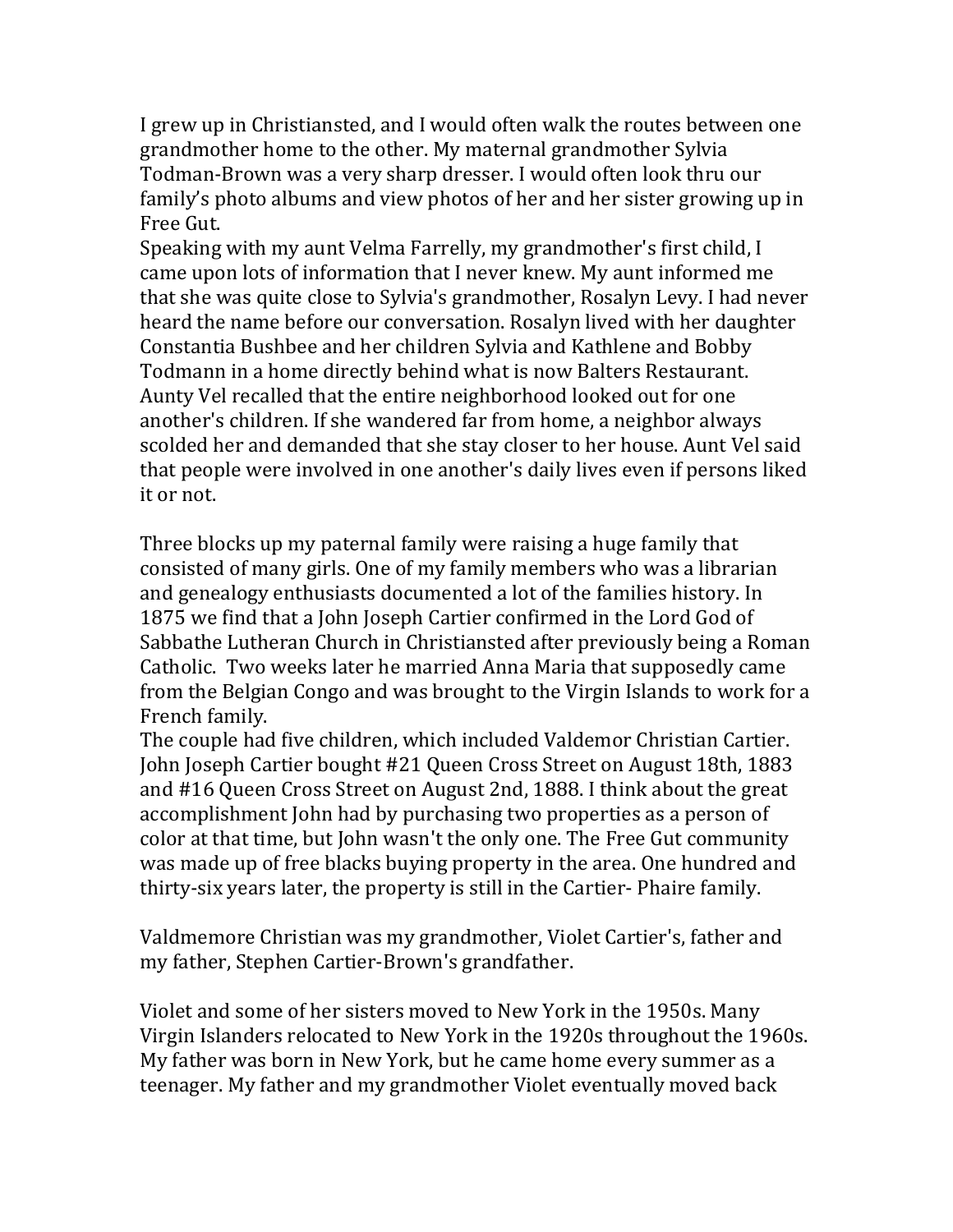I grew up in Christiansted, and I would often walk the routes between one grandmother home to the other. My maternal grandmother Sylvia Todman-Brown was a very sharp dresser. I would often look thru our family's photo albums and view photos of her and her sister growing up in Free Gut.

Speaking with my aunt Velma Farrelly, my grandmother's first child, I came upon lots of information that I never knew. My aunt informed me that she was quite close to Sylvia's grandmother, Rosalyn Levy. I had never heard the name before our conversation. Rosalyn lived with her daughter Constantia Bushbee and her children Sylvia and Kathlene and Bobby Todmann in a home directly behind what is now Balters Restaurant. Aunty Vel recalled that the entire neighborhood looked out for one another's children. If she wandered far from home, a neighbor always scolded her and demanded that she stay closer to her house. Aunt Vel said that people were involved in one another's daily lives even if persons liked it or not.

Three blocks up my paternal family were raising a huge family that consisted of many girls. One of my family members who was a librarian and genealogy enthusiasts documented a lot of the families history. In 1875 we find that a John Joseph Cartier confirmed in the Lord God of Sabbathe Lutheran Church in Christiansted after previously being a Roman Catholic. Two weeks later he married Anna Maria that supposedly came from the Belgian Congo and was brought to the Virgin Islands to work for a French family.

The couple had five children, which included Valdemor Christian Cartier. John Joseph Cartier bought #21 Queen Cross Street on August 18th, 1883 and #16 Queen Cross Street on August 2nd, 1888. I think about the great accomplishment John had by purchasing two properties as a person of color at that time, but John wasn't the only one. The Free Gut community was made up of free blacks buying property in the area. One hundred and thirty-six years later, the property is still in the Cartier- Phaire family.

Valdmemore Christian was my grandmother, Violet Cartier's, father and my father, Stephen Cartier-Brown's grandfather.

Violet and some of her sisters moved to New York in the 1950s. Many Virgin Islanders relocated to New York in the 1920s throughout the 1960s. My father was born in New York, but he came home every summer as a teenager. My father and my grandmother Violet eventually moved back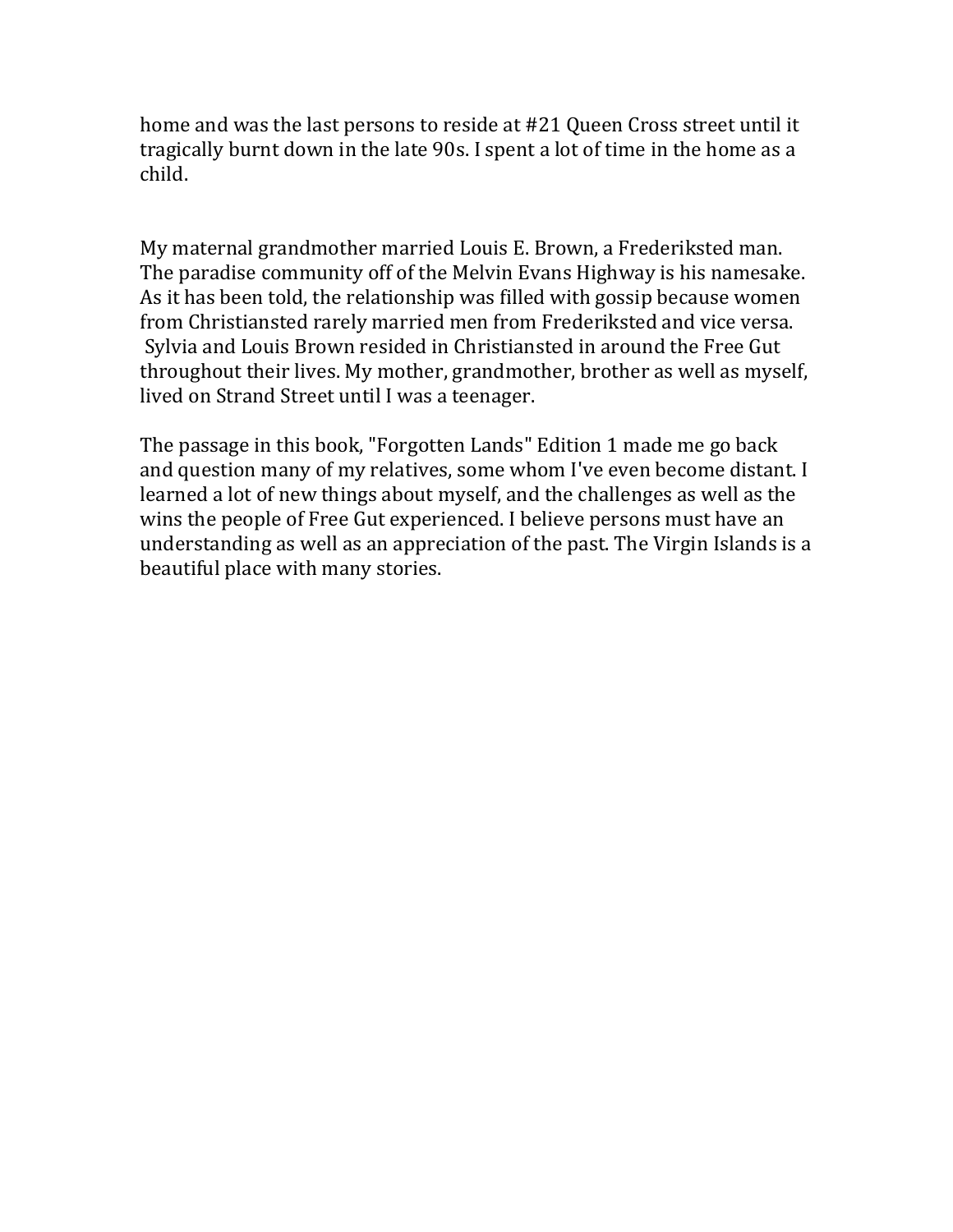home and was the last persons to reside at #21 Queen Cross street until it tragically burnt down in the late 90s. I spent a lot of time in the home as a child.

My maternal grandmother married Louis E. Brown, a Frederiksted man. The paradise community off of the Melvin Evans Highway is his namesake. As it has been told, the relationship was filled with gossip because women from Christiansted rarely married men from Frederiksted and vice versa. Sylvia and Louis Brown resided in Christiansted in around the Free Gut throughout their lives. My mother, grandmother, brother as well as myself, lived on Strand Street until I was a teenager.

The passage in this book, "Forgotten Lands" Edition 1 made me go back and question many of my relatives, some whom I've even become distant. I learned a lot of new things about myself, and the challenges as well as the wins the people of Free Gut experienced. I believe persons must have an understanding as well as an appreciation of the past. The Virgin Islands is a beautiful place with many stories.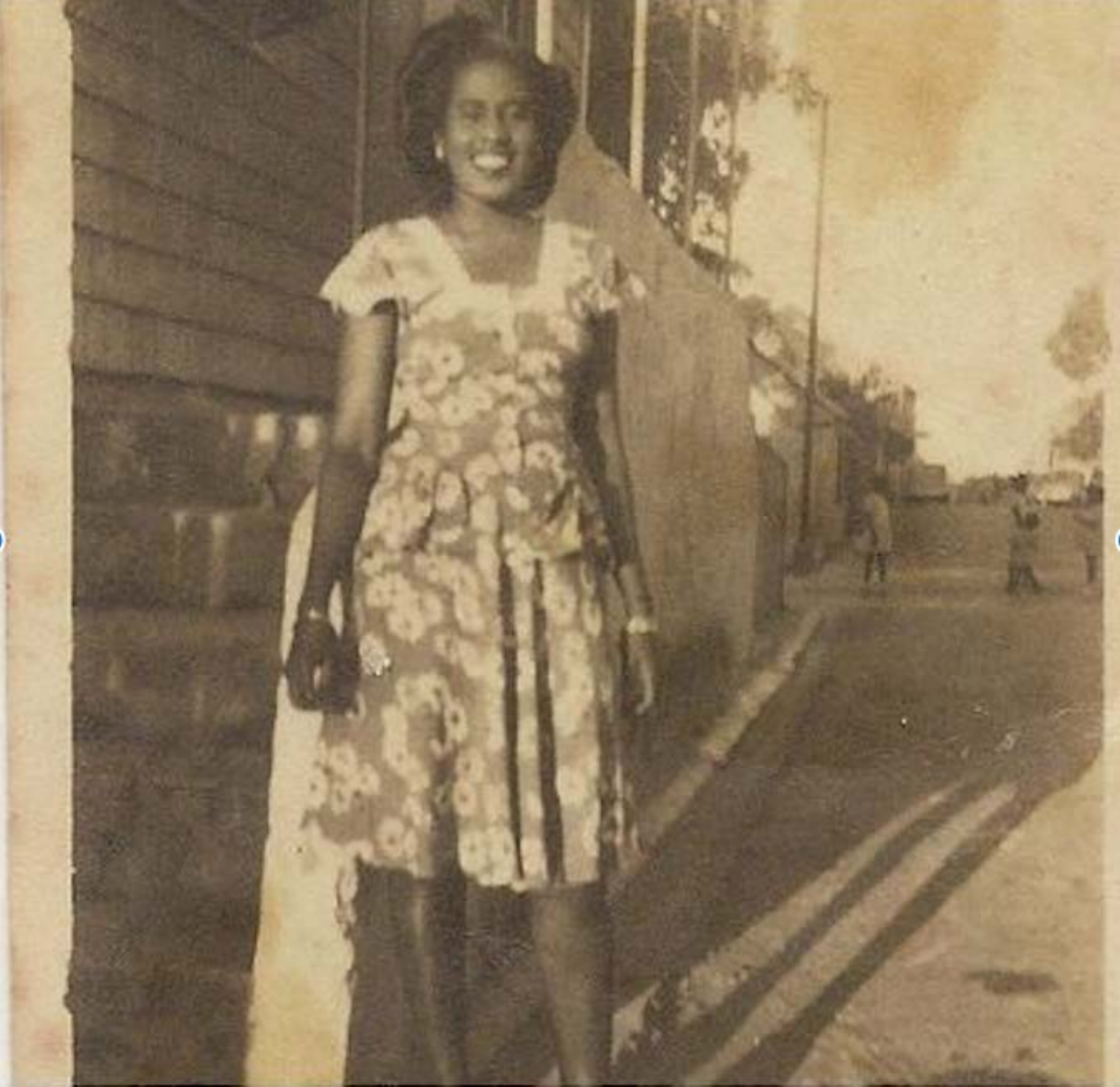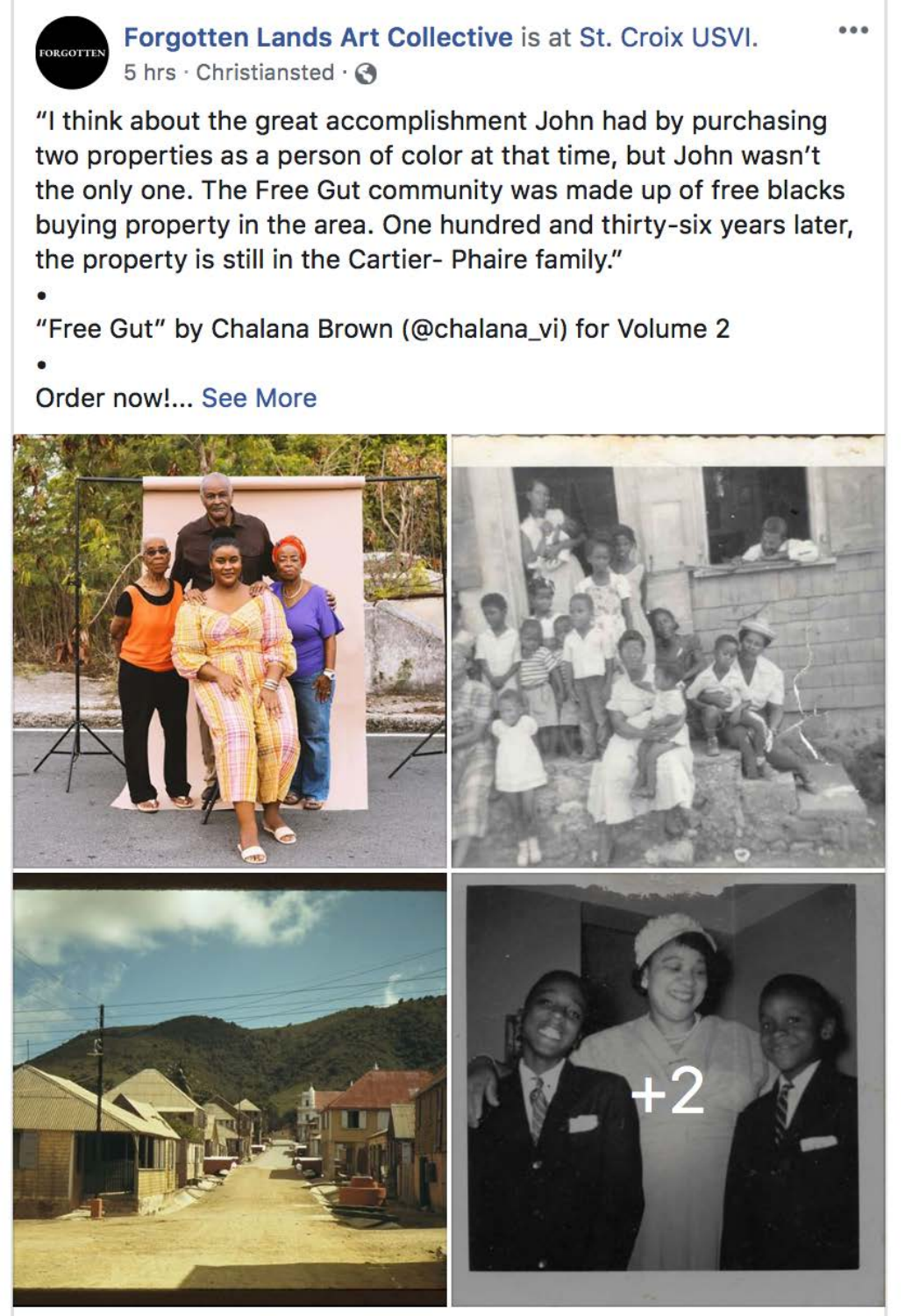

"I think about the great accomplishment John had by purchasing two properties as a person of color at that time, but John wasn't the only one. The Free Gut community was made up of free blacks buying property in the area. One hundred and thirty-six years later, the property is still in the Cartier-Phaire family."

"Free Gut" by Chalana Brown (@chalana\_vi) for Volume 2

Order now!... See More

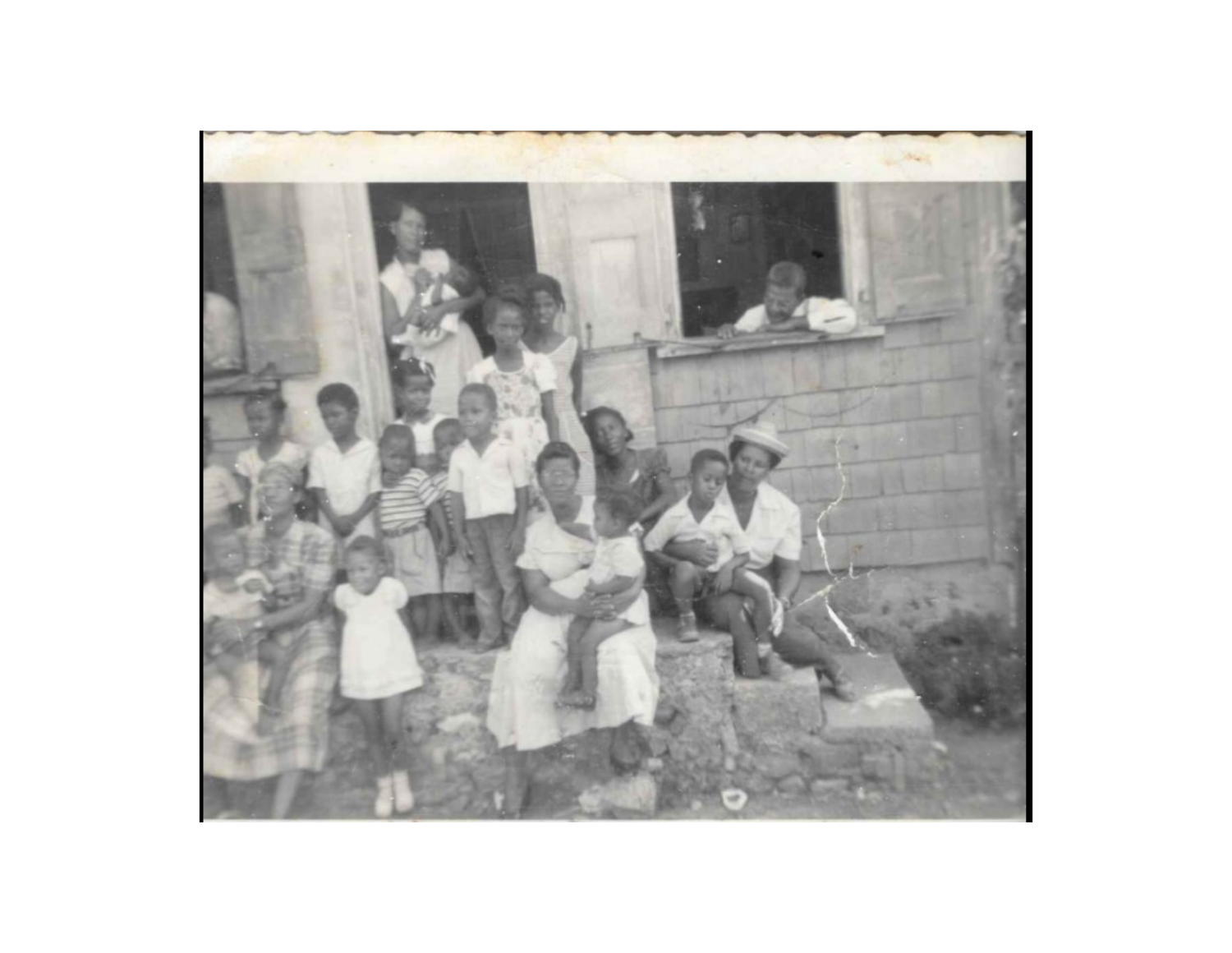